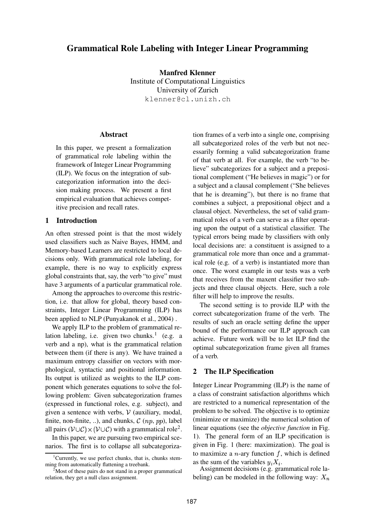# **Grammatical Role Labeling with Integer Linear Programming**

**Manfred Klenner** Institute of Computational Linguistics University of Zurich klenner@cl.unizh.ch

## **Abstract**

In this paper, we present a formalization of grammatical role labeling within the framework of Integer Linear Programming (ILP). We focus on the integration of subcategorization information into the decision making process. We present a first empirical evaluation that achieves competitive precision and recall rates.

## **1 Introduction**

An often stressed point is that the most widely used classifiers such as Naive Bayes, HMM, and Memory-based Learners are restricted to local decisions only. With grammatical role labeling, for example, there is no way to explicitly express global constraints that, say, the verb "to give" must have 3 arguments of a particular grammatical role.

Among the approaches to overcome this restriction, i.e. that allow for global, theory based constraints, Integer Linear Programming (ILP) has been applied to NLP (Punyakanok et al., 2004) .

We apply ILP to the problem of grammatical relation labeling, i.e. given two chunks.<sup>1</sup> (e.g. a verb and a np), what is the grammatical relation between them (if there is any). We have trained a maximum entropy classifier on vectors with morphological, syntactic and positional information. Its output is utilized as weights to the ILP component which generates equations to solve the following problem: Given subcategorization frames (expressed in functional roles, e.g. subject), and given a sentence with verbs,  $V$  (auxiliary, modal, finite, non-finite, ..), and chunks,  $\mathcal{C}(np, pp)$ , label all pairs  $(\mathcal{V} \cup \mathcal{C}) \times (\mathcal{V} \cup \mathcal{C})$  with a grammatical role<sup>2</sup>.

In this paper, we are pursuing two empirical scenarios. The first is to collapse all subcategorization frames of a verb into a single one, comprising all subcategorized roles of the verb but not necessarily forming a valid subcategorization frame of that verb at all. For example, the verb "to believe" subcategorizes for a subject and a prepositional complement ("He believes in magic") or for a subject and a clausal complement ("She believes that he is dreaming"), but there is no frame that combines a subject, a prepositional object and a clausal object. Nevertheless, the set of valid grammatical roles of a verb can serve as a filter operating upon the output of a statistical classifier. The typical errors being made by classifiers with only local decisions are: a constituent is assigned to a grammatical role more than once and a grammatical role (e.g. of a verb) is instantiated more than once. The worst example in our tests was a verb that receives from the maxent classifier two subjects and three clausal objects. Here, such a role filter will help to improve the results.

The second setting is to provide ILP with the correct subcategorization frame of the verb. The results of such an oracle setting define the upper bound of the performance our ILP approach can achieve. Future work will be to let ILP find the optimal subcategorization frame given all frames of a verb.

# **2 The ILP Specification**

Integer Linear Programming (ILP) is the name of a class of constraint satisfaction algorithms which are restricted to a numerical representation of the problem to be solved. The objective is to optimize (minimize or maximize) the numerical solution of linear equations (see the *objective function* in Fig. 1). The general form of an ILP specification is given in Fig. 1 (here: maximization). The goal is to maximize a *n*-ary function  $f$ , which is defined as the sum of the variables  $u_i X_i$ .

Assignment decisions (e.g. grammatical role labeling) can be modeled in the following way:  $X_n$ 

<sup>&</sup>lt;sup>1</sup>Currently, we use perfect chunks, that is, chunks stemming from automatically flattening a treebank.

 $2<sup>2</sup>$  Most of these pairs do not stand in a proper grammatical relation, they get a null class assignment.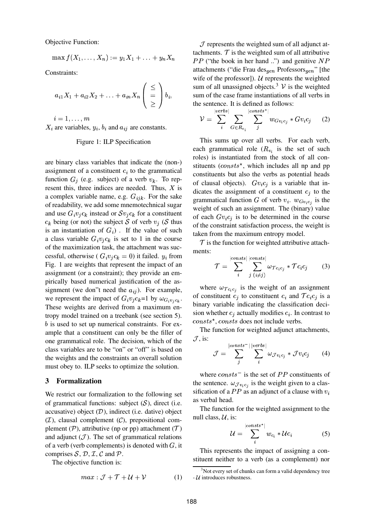Objective Function:

$$
\max f(X_1,\ldots,X_n) := y_1 X_1 + \ldots + y_n X_n
$$

Constraints:

$$
a_{i1}X_1 + a_{i2}X_2 + \ldots + a_{in}X_n \begin{pmatrix} \le \\ = \\ \ge \end{pmatrix} b_i,
$$

 $i=1,\ldots,m$  $X_i$  are variables,  $y_i$ ,  $b_i$  and  $a_{ij}$  are constants.

#### Figure 1: ILP Specification

are binary class variables that indicate the (non-) assignment of a constituent  $c_i$  to the grammatical function  $G_i$  (e.g. subject) of a verb  $v_k$ . To represent this, three indices are needed. Thus,  $X$  is a complex variable name, e.g.  $G_{ijk}$ . For the sake of readability, we add some mnemotechnical sugar and use  $G_i v_j c_k$  instead or  $S v_j c_k$  for a constituent  $c_k$  being (or not) the subject S of verb  $v_j$  (S thus is an instantiation of  $G_i$ ). If the value of such a class variable  $G_i v_i c_k$  is set to 1 in the course of the maximization task, the attachment was successful, otherwise ( $G_i v_j c_k = 0$ ) it failed.  $y_i$  from Fig. 1 are weights that represent the impact of an assignment (or a constraint); they provide an empirically based numerical justification of the assignment (we don"t need the  $a_{ij}$ ). For example, we represent the impact of  $G_i v_j c_k =1$  by  $\omega_{G_i v_j c_k}$ . These weights are derived from a maximum entropy model trained on a treebank (see section 5).  *is used to set up numerical constraints. For ex*ample that a constituent can only be the filler of one grammatical role. The decision, which of the class variables are to be "on" or "off" is based on the weights and the constraints an overall solution must obey to. ILP seeks to optimize the solution.

### **3 Formalization**

We restrict our formalization to the following set of grammatical functions: subject  $(S)$ , direct (i.e. accusative) object  $(D)$ , indirect (i.e. dative) object  $(\mathcal{I})$ , clausal complement  $(\mathcal{C})$ , prepositional complement ( $P$ ), attributive (np or pp) attachment ( $T$ ) and adjunct  $(\mathcal{J})$ . The set of grammatical relations of a verb (verb complements) is denoted with  $G$ , it comprises  $S$ ,  $D$ ,  $I$ ,  $C$  and  $P$ .

The objective function is:

$$
max: \mathcal{J} + \mathcal{T} + \mathcal{U} + \mathcal{V} \tag{1}
$$

 $\mathcal J$  represents the weighted sum of all adjunct attachments.  $\mathcal T$  is the weighted sum of all attributive  $PP$  ("the book in her hand ..") and genitive  $NP$ attachments ("die Frau des<sub>gen</sub> Professors<sub>gen</sub>" [the wife of the professor]).  $U$  represents the weighted sum of all unassigned objects.<sup>3</sup>  $\mathcal V$  is the weighted sum of the case frame instantiations of all verbs in the sentence. It is defined as follows:

$$
\mathcal{V} = \sum_{i}^{\left| \text{verses} \right|} \sum_{G \in R_{v_i}} \sum_{j}^{\left| \text{consts}^{\star} \right|} w_{Gv_ic_j} * Gv_ic_j \quad (2)
$$

This sums up over all verbs. For each verb, each grammatical role  $(R_{\nu})$  is the set of such roles) is instantiated from the stock of all constituents ( $consts^*$ , which includes all np and pp constituents but also the verbs as potential heads of clausal objects).  $Gv_ic_j$  is a variable that indicates the assignment of a constituent  $c_i$  to the grammatical function G of verb  $v_i$ .  $w_{Gv_i c_j}$  is the weight of such an assignment. The (binary) value of each  $Gv_ic_j$  is to be determined in the course of the constraint satisfaction process, the weight is taken from the maximum entropy model.

 $\mathcal T$  is the function for weighted attributive attachments:

$$
\mathcal{T} = \sum_{i}^{|consts|} \sum_{j \ (i \neq j)}^{|consts|} \omega_{\mathcal{T}c_i c_j} * \mathcal{T}c_i c_j \qquad (3)
$$

where  $\omega_{\mathcal{T}c_ic_j}$  is the weight of an assignment of constituent  $c_j$  to constituent  $c_i$  and  $\mathcal{T}c_ic_j$  is a binary variable indicating the classification decision whether  $c_i$  actually modifies  $c_i$ . In contrast to  $consts^*$ ,  $consts$  does not include verbs.

The function for weighted adjunct attachments,  $\mathcal{J}$ , is:

$$
\mathcal{J} = \sum_{j}^{|consts^{-}|} \sum_{i}^{|verbs|} \omega_{\mathcal{J}v_ic_j} * \mathcal{J}v_ic_j \qquad (4)
$$

where  $consts$ <sup>-</sup> is the set of *PP* constituents of the sentence.  $\omega_{\mathcal{J}v_ic_j}$  is the weight given to a classification of a  $PP$  as an adjunct of a clause with  $v_i$ as verbal head.

The function for the weighted assignment to the null class,  $U$ , is:

$$
\mathcal{U} = \sum_{i}^{|consits^*|} w_{c_i} * \mathcal{U}c_i \tag{5}
$$

This represents the impact of assigning a constituent neither to a verb (as a complement) nor

<sup>&</sup>lt;sup>3</sup>Not every set of chunks can form a valid dependency tree  $- U$  introduces robustness.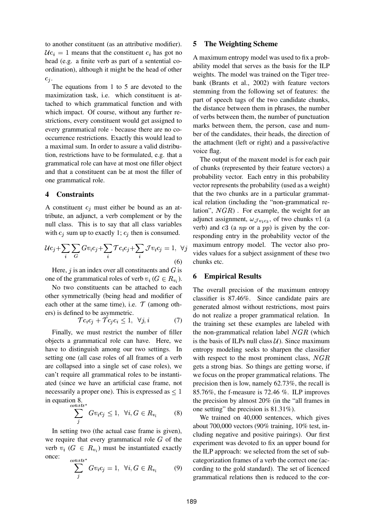to another constituent (as an attributive modifier).  $U_{i} = 1$  means that the constituent  $c_i$  has got no head (e.g. a finite verb as part of a sentential coordination), although it might be the head of other  $c_j$ .

The equations from 1 to 5 are devoted to the maximization task, i.e. which constituent is attached to which grammatical function and with which impact. Of course, without any further restrictions, every constituent would get assigned to every grammatical role - because there are no cooccurrence restrictions. Exactly this would lead to a maximal sum. In order to assure a valid distribution, restrictions have to be formulated, e.g. that a grammatical role can have at most one filler object and that a constituent can be at most the filler of one grammatical role.

#### **4 Constraints**

A constituent  $c_i$  must either be bound as an attribute, an adjunct, a verb complement or by the null class. This is to say that all class variables with  $c_j$  sum up to exactly 1;  $c_j$  then is consumed.

$$
\mathcal{U}c_j + \sum_i \sum_G Gv_i c_j + \sum_i \mathcal{T}c_i c_j + \sum_i \mathcal{J}v_i c_j = 1, \ \ \forall j
$$
\n
$$
(6)
$$

Here,  $j$  is an index over all constituents and  $G$  is one of the grammatical roles of verb  $v_i$  ( $G \in R_{v_i}$ ).

No two constituents can be attached to each other symmetrically (being head and modifier of each other at the same time), i.e.  $\mathcal T$  (among others) is defined to be asymmetric.

$$
\mathcal{T}c_i c_j + \mathcal{T}c_j c_i \le 1, \ \forall j, i \tag{7}
$$

 Finally, we must restrict the number of filler objects a grammatical role can have. Here, we have to distinguish among our two settings. In setting one (all case roles of all frames of a verb are collapsed into a single set of case roles), we can't require all grammatical roles to be instantiated (since we have an artificial case frame, not necessarily a proper one). This is expressed as  $\leq 1$ in equation 8.

$$
\sum_{j}^{consts^{*}} Gv_{i}c_{j} \leq 1, \ \ \forall i, G \in R_{v_{i}} \tag{8}
$$

In setting two (the actual case frame is given), we require that every grammatical role  $G$  of the verb  $v_i$  ( $G \in R_{v_i}$ ) must be instantiated exactly once:  $consts^{\star}$ 

$$
\sum_{j}^{onsts} Gv_i c_j = 1, \ \forall i, G \in R_{v_i} \tag{9}
$$

### **5 The Weighting Scheme**

A maximum entropy model was used to fix a probability model that serves as the basis for the ILP weights. The model was trained on the Tiger treebank (Brants et al., 2002) with feature vectors stemming from the following set of features: the part of speech tags of the two candidate chunks, the distance between them in phrases, the number of verbs between them, the number of punctuation marks between them, the person, case and number of the candidates, their heads, the direction of the attachment (left or right) and a passive/active voice flag.

The output of the maxent model is for each pair of chunks (represented by their feature vectors) a probability vector. Each entry in this probability vector represents the probability (used as a weight) that the two chunks are in a particular grammatical relation (including the "non-grammatical relation",  $NGR$ ). For example, the weight for an adjunct assignment,  $\omega_{\mathcal{J}v_1c_3}$ , of two chunks v1 (a verb) and  $c3$  (a  $np$  or a  $pp$ ) is given by the corresponding entry in the probability vector of the maximum entropy model. The vector also provides values for a subject assignment of these two chunks etc.

## **6 Empirical Results**

The overall precision of the maximum entropy classifier is 87.46%. Since candidate pairs are generated almost without restrictions, most pairs do not realize a proper grammatical relation. In the training set these examples are labeled with the non-grammatical relation label  $NGR$  (which is the basis of ILPs null class  $U$ ). Since maximum entropy modeling seeks to sharpen the classifier with respect to the most prominent class,  $NGR$ gets a strong bias. So things are getting worse, if we focus on the proper grammatical relations. The precision then is low, namely 62.73%, the recall is 85.76%, the f-measure is 72.46 %. ILP improves the precision by almost 20% (in the "all frames in one setting" the precision is 81.31%).

We trained on 40,000 sentences, which gives about 700,000 vectors (90% training, 10% test, including negative and positive pairings). Our first experiment was devoted to fix an upper bound for the ILP approach: we selected from the set of subcategorization frames of a verb the correct one (according to the gold standard). The set of licenced grammatical relations then is reduced to the cor